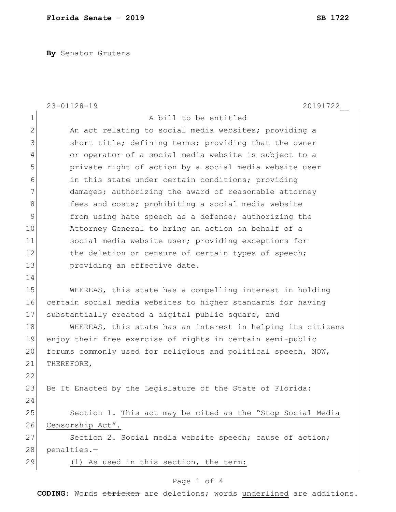**By** Senator Gruters

|               | $23 - 01128 - 19$<br>20191722                                 |
|---------------|---------------------------------------------------------------|
| 1             | A bill to be entitled                                         |
| $\mathbf{2}$  | An act relating to social media websites; providing a         |
| 3             | short title; defining terms; providing that the owner         |
| 4             | or operator of a social media website is subject to a         |
| 5             | private right of action by a social media website user        |
| 6             | in this state under certain conditions; providing             |
| 7             | damages; authorizing the award of reasonable attorney         |
| $\,8\,$       | fees and costs; prohibiting a social media website            |
| $\mathcal{G}$ | from using hate speech as a defense; authorizing the          |
| 10            | Attorney General to bring an action on behalf of a            |
| 11            | social media website user; providing exceptions for           |
| 12            | the deletion or censure of certain types of speech;           |
| 13            | providing an effective date.                                  |
| 14            |                                                               |
| 15            | WHEREAS, this state has a compelling interest in holding      |
| 16            | certain social media websites to higher standards for having  |
| 17            | substantially created a digital public square, and            |
| 18            | WHEREAS, this state has an interest in helping its citizens   |
| 19            | enjoy their free exercise of rights in certain semi-public    |
| 20            | forums commonly used for religious and political speech, NOW, |
| 21            | THEREFORE,                                                    |
| 22            |                                                               |
| 23            | Be It Enacted by the Legislature of the State of Florida:     |
| 24            |                                                               |
| 25            | Section 1. This act may be cited as the "Stop Social Media    |
| 26            | Censorship Act".                                              |
| 27            | Section 2. Social media website speech; cause of action;      |
| 28            | penalties.-                                                   |
| 29            | (1) As used in this section, the term:                        |

## Page 1 of 4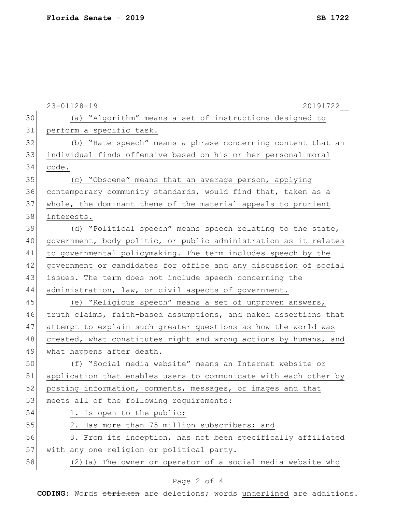|    | $23 - 01128 - 19$<br>20191722                                    |
|----|------------------------------------------------------------------|
| 30 | (a) "Algorithm" means a set of instructions designed to          |
| 31 | perform a specific task.                                         |
| 32 | (b) "Hate speech" means a phrase concerning content that an      |
| 33 | individual finds offensive based on his or her personal moral    |
| 34 | code.                                                            |
| 35 | (c) "Obscene" means that an average person, applying             |
| 36 | contemporary community standards, would find that, taken as a    |
| 37 | whole, the dominant theme of the material appeals to prurient    |
| 38 | interests.                                                       |
| 39 | (d) "Political speech" means speech relating to the state,       |
| 40 | government, body politic, or public administration as it relates |
| 41 | to governmental policymaking. The term includes speech by the    |
| 42 | government or candidates for office and any discussion of social |
| 43 | issues. The term does not include speech concerning the          |
| 44 | administration, law, or civil aspects of government.             |
| 45 | (e) "Religious speech" means a set of unproven answers,          |
| 46 | truth claims, faith-based assumptions, and naked assertions that |
| 47 | attempt to explain such greater questions as how the world was   |
| 48 | created, what constitutes right and wrong actions by humans, and |
| 49 | what happens after death.                                        |
| 50 | (f) "Social media website" means an Internet website or          |
| 51 | application that enables users to communicate with each other by |
| 52 | posting information, comments, messages, or images and that      |
| 53 | meets all of the following requirements:                         |
| 54 | 1. Is open to the public;                                        |
| 55 | 2. Has more than 75 million subscribers; and                     |
| 56 | 3. From its inception, has not been specifically affiliated      |
| 57 | with any one religion or political party.                        |
| 58 | (2) (a) The owner or operator of a social media website who      |

## Page 2 of 4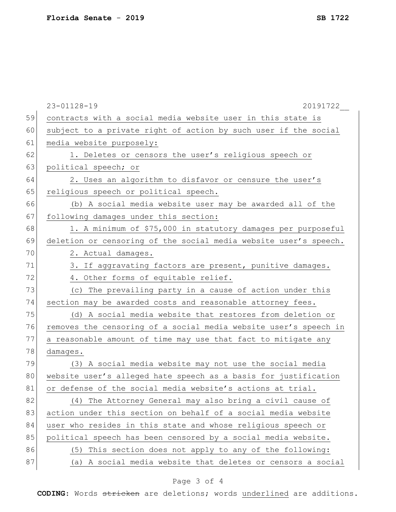|    | $23 - 01128 - 19$<br>20191722                                    |
|----|------------------------------------------------------------------|
| 59 | contracts with a social media website user in this state is      |
| 60 | subject to a private right of action by such user if the social  |
| 61 | media website purposely:                                         |
| 62 | 1. Deletes or censors the user's religious speech or             |
| 63 | political speech; or                                             |
| 64 | 2. Uses an algorithm to disfavor or censure the user's           |
| 65 | religious speech or political speech.                            |
| 66 | (b) A social media website user may be awarded all of the        |
| 67 | following damages under this section:                            |
| 68 | 1. A minimum of \$75,000 in statutory damages per purposeful     |
| 69 | deletion or censoring of the social media website user's speech. |
| 70 | 2. Actual damages.                                               |
| 71 | 3. If aggravating factors are present, punitive damages.         |
| 72 | 4. Other forms of equitable relief.                              |
| 73 | (c) The prevailing party in a cause of action under this         |
| 74 | section may be awarded costs and reasonable attorney fees.       |
| 75 | (d) A social media website that restores from deletion or        |
| 76 | removes the censoring of a social media website user's speech in |
| 77 | a reasonable amount of time may use that fact to mitigate any    |
| 78 | damages.                                                         |
| 79 | (3) A social media website may not use the social media          |
| 80 | website user's alleged hate speech as a basis for justification  |
| 81 | or defense of the social media website's actions at trial.       |
| 82 | (4) The Attorney General may also bring a civil cause of         |
| 83 | action under this section on behalf of a social media website    |
| 84 | user who resides in this state and whose religious speech or     |
| 85 | political speech has been censored by a social media website.    |
| 86 | This section does not apply to any of the following:<br>(5)      |
| 87 | A social media website that deletes or censors a social<br>(a)   |
|    |                                                                  |

## Page 3 of 4